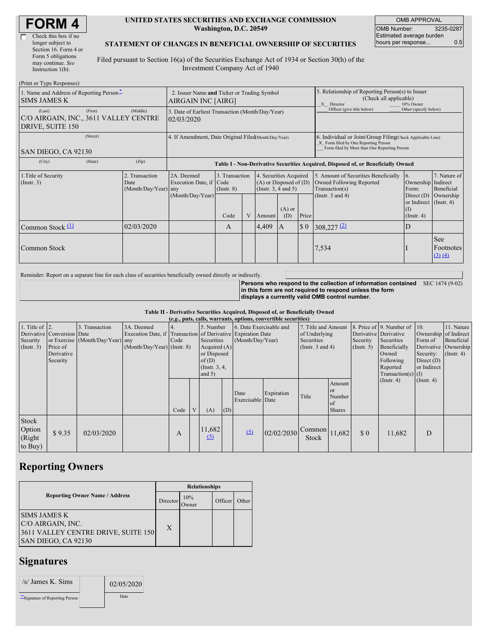| <b>FORM4</b> |
|--------------|
|--------------|

 $\Gamma$ 

| Check this box if no  |
|-----------------------|
| longer subject to     |
| Section 16. Form 4 or |
| Form 5 obligations    |
| may continue. See     |
| Instruction 1(b).     |
|                       |

#### **UNITED STATES SECURITIES AND EXCHANGE COMMISSION Washington, D.C. 20549**

OMB APPROVAL OMB Number: 3235-0287 Estimated average burden hours per response... 0.5

### **STATEMENT OF CHANGES IN BENEFICIAL OWNERSHIP OF SECURITIES**

Filed pursuant to Section 16(a) of the Securities Exchange Act of 1934 or Section 30(h) of the Investment Company Act of 1940

| (Print or Type Responses)                                           |                                                                   |                                                      |                                                                                  |                                   |   |                                                                              |                                                                                                       |                                                                                                                                                    |                                                                                    |                                                                   |                                                                |
|---------------------------------------------------------------------|-------------------------------------------------------------------|------------------------------------------------------|----------------------------------------------------------------------------------|-----------------------------------|---|------------------------------------------------------------------------------|-------------------------------------------------------------------------------------------------------|----------------------------------------------------------------------------------------------------------------------------------------------------|------------------------------------------------------------------------------------|-------------------------------------------------------------------|----------------------------------------------------------------|
| 1. Name and Address of Reporting Person-<br><b>SIMS JAMES K</b>     | 2. Issuer Name and Ticker or Trading Symbol<br>AIRGAIN INC [AIRG] |                                                      |                                                                                  |                                   |   |                                                                              | 5. Relationship of Reporting Person(s) to Issuer<br>(Check all applicable)<br>10% Owner<br>X Director |                                                                                                                                                    |                                                                                    |                                                                   |                                                                |
| (Last)<br>C/O AIRGAIN, INC., 3611 VALLEY CENTRE<br>DRIVE, SUITE 150 | (First)                                                           | (Middle)                                             | 3. Date of Earliest Transaction (Month/Day/Year)<br>02/03/2020                   |                                   |   |                                                                              |                                                                                                       |                                                                                                                                                    | Officer (give title below)                                                         | Other (specify below)                                             |                                                                |
| SAN DIEGO, CA 92130                                                 |                                                                   | 4. If Amendment, Date Original Filed(Month/Day/Year) |                                                                                  |                                   |   |                                                                              |                                                                                                       | 6. Individual or Joint/Group Filing Check Applicable Line)<br>X Form filed by One Reporting Person<br>Form filed by More than One Reporting Person |                                                                                    |                                                                   |                                                                |
| (City)                                                              | (State)                                                           | (Zip)                                                | Table I - Non-Derivative Securities Acquired, Disposed of, or Beneficially Owned |                                   |   |                                                                              |                                                                                                       |                                                                                                                                                    |                                                                                    |                                                                   |                                                                |
| 1. Title of Security<br>(Insert. 3)                                 | 2. Transaction<br>Date<br>(Month/Day/Year) any                    |                                                      | 2A. Deemed<br>Execution Date, if Code                                            | 3. Transaction<br>$($ Instr. $8)$ |   | 4. Securities Acquired<br>$(A)$ or Disposed of $(D)$<br>(Insert. 3, 4 and 5) |                                                                                                       |                                                                                                                                                    | 5. Amount of Securities Beneficially<br>Owned Following Reported<br>Transaction(s) | 6.<br>Ownership<br>Form:                                          | 7. Nature of<br>Indirect<br>Beneficial                         |
|                                                                     |                                                                   |                                                      | (Month/Day/Year)                                                                 | Code                              | V | Amount                                                                       | $(A)$ or<br>(D)                                                                                       | Price                                                                                                                                              | (Instr. $3$ and $4$ )                                                              | Direct $(D)$<br>or Indirect (Instr. 4)<br>(I)<br>$($ Instr. 4 $)$ | Ownership                                                      |
| Common Stock $(1)$                                                  |                                                                   | 02/03/2020                                           |                                                                                  | $\mathbf{A}$                      |   | 4,409                                                                        | ΙA.                                                                                                   | $\sqrt{3}0$                                                                                                                                        | $308,227$ <sup>(2)</sup>                                                           | ID                                                                |                                                                |
| Common Stock                                                        |                                                                   |                                                      |                                                                                  |                                   |   |                                                                              |                                                                                                       |                                                                                                                                                    | 7,534                                                                              |                                                                   | <b>See</b><br>Footnotes<br>$\left( 3\right)$ $\left( 4\right)$ |

Reminder: Report on a separate line for each class of securities beneficially owned directly or indirectly.

**Persons who respond to the collection of information contained** SEC 1474 (9-02) **in this form are not required to respond unless the form displays a currently valid OMB control number.**

**Table II - Derivative Securities Acquired, Disposed of, or Beneficially Owned**

|                                                   | (e.g., puts, calls, warrants, options, convertible securities)   |                                                    |                                             |      |  |                                                                                                                                                                                                                  |     |                          |                                                                                    |                                    |                                                                                                                                                                          |                                                                              |                                                                      |                  |  |
|---------------------------------------------------|------------------------------------------------------------------|----------------------------------------------------|---------------------------------------------|------|--|------------------------------------------------------------------------------------------------------------------------------------------------------------------------------------------------------------------|-----|--------------------------|------------------------------------------------------------------------------------|------------------------------------|--------------------------------------------------------------------------------------------------------------------------------------------------------------------------|------------------------------------------------------------------------------|----------------------------------------------------------------------|------------------|--|
| 1. Title of $\vert$ 2.<br>Security<br>(Insert. 3) | Derivative Conversion Date<br>Price of<br>Derivative<br>Security | 3. Transaction<br>or Exercise (Month/Day/Year) any | 3A. Deemed<br>$(Month/Day/Year)$ (Instr. 8) | Code |  | 6. Date Exercisable and<br>5. Number<br>Execution Date, if Transaction of Derivative Expiration Date<br>Securities<br>(Month/Day/Year)<br>Acquired $(A)$<br>or Disposed<br>of(D)<br>(Instr. $3, 4$ ,<br>and $5)$ |     |                          | 7. Title and Amount<br>of Underlying<br><b>Securities</b><br>(Instr. $3$ and $4$ ) |                                    | 8. Price of 9. Number of 10.<br>Derivative Derivative<br>Security<br>Securities<br>Beneficially<br>(Insert. 5)<br>Owned<br>Following<br>Reported<br>$Transaction(s)$ (I) | Ownership of Indirect<br>Form of<br>Security:<br>Direct $(D)$<br>or Indirect | 11. Nature<br>Beneficial<br>Derivative Ownership<br>$($ Instr. 4 $)$ |                  |  |
|                                                   |                                                                  |                                                    |                                             | Code |  | (A)                                                                                                                                                                                                              | (D) | Date<br>Exercisable Date | Expiration                                                                         | Title                              | Amount<br>l or<br>Number<br>of<br><b>Shares</b>                                                                                                                          |                                                                              | $($ Instr. 4)                                                        | $($ Instr. 4 $)$ |  |
| Stock<br>Option<br>(Right<br>to Buy)              | \$9.35                                                           | 02/03/2020                                         |                                             | А    |  | 11,682<br>$\Omega$                                                                                                                                                                                               |     | (5)                      | 02/02/2030                                                                         | $\triangle$ Common 11,682<br>Stock |                                                                                                                                                                          | $\Omega$                                                                     | 11,682                                                               | D                |  |

# **Reporting Owners**

|                                                                                                        | <b>Relationships</b> |                     |         |       |  |  |  |
|--------------------------------------------------------------------------------------------------------|----------------------|---------------------|---------|-------|--|--|--|
| <b>Reporting Owner Name / Address</b>                                                                  | Director             | 10%<br><b>Dwner</b> | Officer | Other |  |  |  |
| <b>SIMS JAMES K</b><br>C/O AIRGAIN, INC.<br>3611 VALLEY CENTRE DRIVE, SUITE 150<br>SAN DIEGO, CA 92130 | X                    |                     |         |       |  |  |  |

## **Signatures**

| $/s$ James K. Sims              | 02/05/2020 |  |
|---------------------------------|------------|--|
| **Signature of Reporting Person | Date       |  |